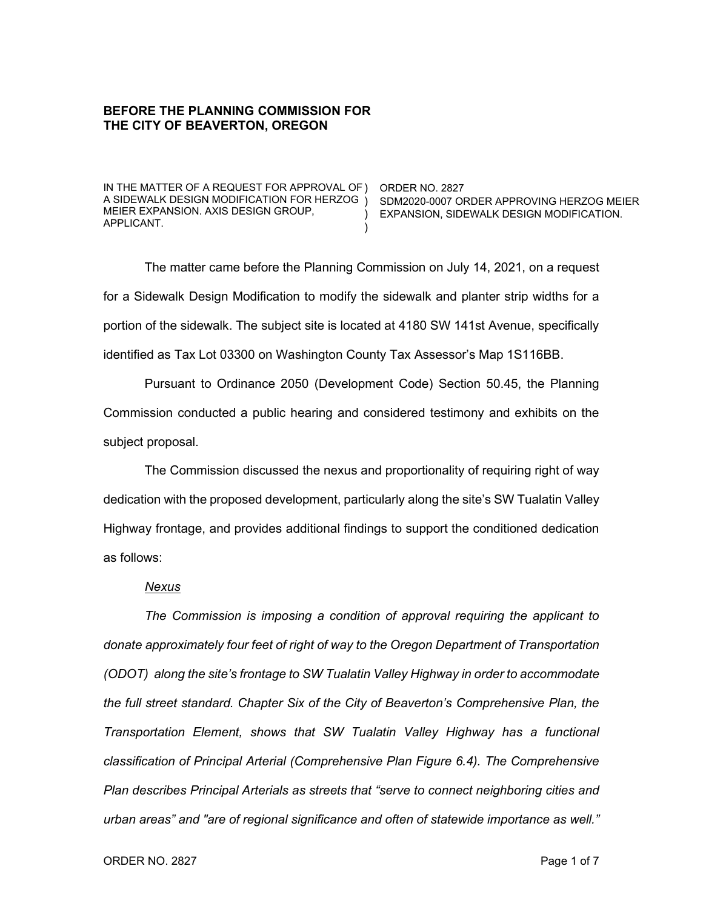## **BEFORE THE PLANNING COMMISSION FOR THE CITY OF BEAVERTON, OREGON**

IN THE MATTER OF A REQUEST FOR APPROVAL OF ) ORDER NO. 2827 A SIDEWALK DESIGN MODIFICATION FOR HERZOG ) SDM2020-0007 ORDER APPROVING HERZOG MEIER MEIER EXPANSION. AXIS DESIGN GROUP, APPLICANT.

) EXPANSION, SIDEWALK DESIGN MODIFICATION.

The matter came before the Planning Commission on July 14, 2021, on a request for a Sidewalk Design Modification to modify the sidewalk and planter strip widths for a portion of the sidewalk. The subject site is located at 4180 SW 141st Avenue, specifically identified as Tax Lot 03300 on Washington County Tax Assessor's Map 1S116BB.

)

Pursuant to Ordinance 2050 (Development Code) Section 50.45, the Planning Commission conducted a public hearing and considered testimony and exhibits on the subject proposal.

The Commission discussed the nexus and proportionality of requiring right of way dedication with the proposed development, particularly along the site's SW Tualatin Valley Highway frontage, and provides additional findings to support the conditioned dedication as follows:

### *Nexus*

*The Commission is imposing a condition of approval requiring the applicant to donate approximately four feet of right of way to the Oregon Department of Transportation (ODOT) along the site's frontage to SW Tualatin Valley Highway in order to accommodate the full street standard. Chapter Six of the City of Beaverton's Comprehensive Plan, the Transportation Element, shows that SW Tualatin Valley Highway has a functional classification of Principal Arterial (Comprehensive Plan Figure 6.4). The Comprehensive Plan describes Principal Arterials as streets that "serve to connect neighboring cities and urban areas" and "are of regional significance and often of statewide importance as well."*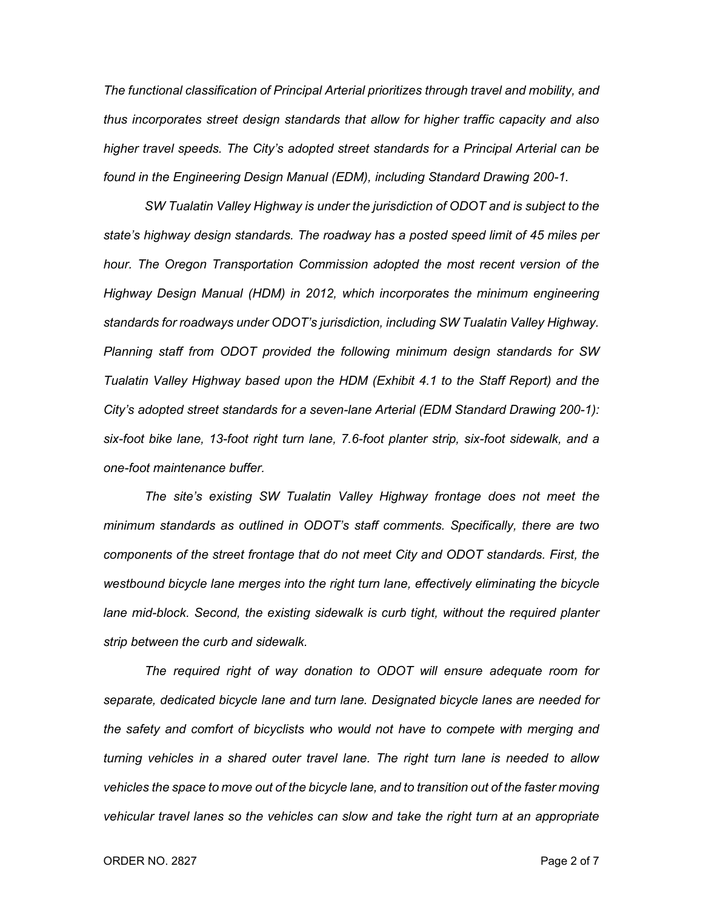*The functional classification of Principal Arterial prioritizes through travel and mobility, and thus incorporates street design standards that allow for higher traffic capacity and also higher travel speeds. The City's adopted street standards for a Principal Arterial can be found in the Engineering Design Manual (EDM), including Standard Drawing 200-1.* 

*SW Tualatin Valley Highway is under the jurisdiction of ODOT and is subject to the state's highway design standards. The roadway has a posted speed limit of 45 miles per hour. The Oregon Transportation Commission adopted the most recent version of the Highway Design Manual (HDM) in 2012, which incorporates the minimum engineering standards for roadways under ODOT's jurisdiction, including SW Tualatin Valley Highway. Planning staff from ODOT provided the following minimum design standards for SW Tualatin Valley Highway based upon the HDM (Exhibit 4.1 to the Staff Report) and the City's adopted street standards for a seven-lane Arterial (EDM Standard Drawing 200-1): six-foot bike lane, 13-foot right turn lane, 7.6-foot planter strip, six-foot sidewalk, and a one-foot maintenance buffer.*

*The site's existing SW Tualatin Valley Highway frontage does not meet the minimum standards as outlined in ODOT's staff comments. Specifically, there are two components of the street frontage that do not meet City and ODOT standards. First, the westbound bicycle lane merges into the right turn lane, effectively eliminating the bicycle*  lane mid-block. Second, the existing sidewalk is curb tight, without the required planter *strip between the curb and sidewalk.*

*The required right of way donation to ODOT will ensure adequate room for separate, dedicated bicycle lane and turn lane. Designated bicycle lanes are needed for the safety and comfort of bicyclists who would not have to compete with merging and turning vehicles in a shared outer travel lane. The right turn lane is needed to allow vehicles the space to move out of the bicycle lane, and to transition out of the faster moving vehicular travel lanes so the vehicles can slow and take the right turn at an appropriate*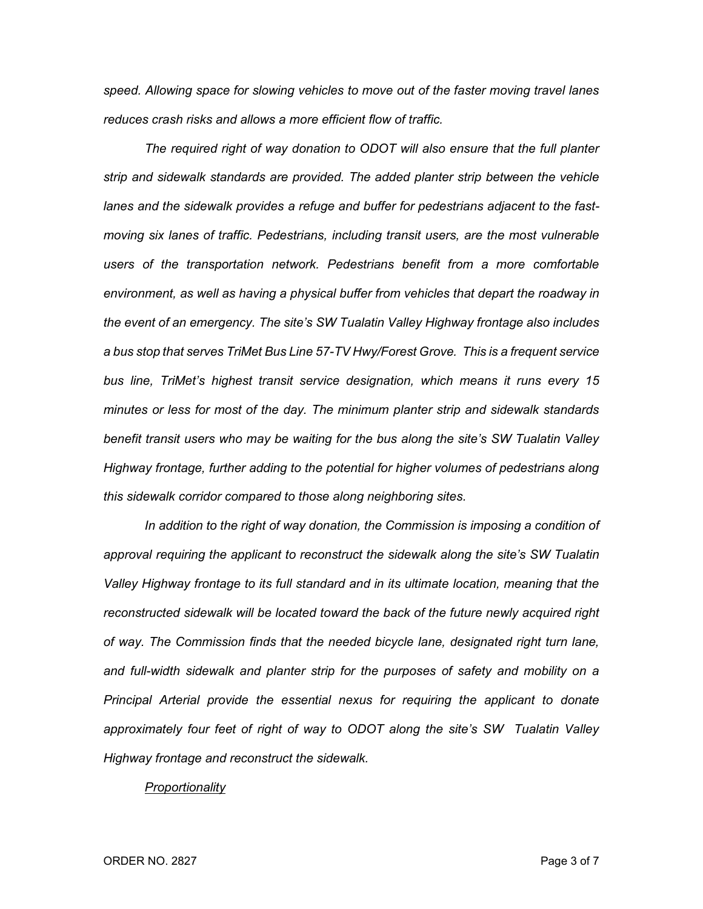*speed. Allowing space for slowing vehicles to move out of the faster moving travel lanes reduces crash risks and allows a more efficient flow of traffic.*

*The required right of way donation to ODOT will also ensure that the full planter strip and sidewalk standards are provided. The added planter strip between the vehicle lanes and the sidewalk provides a refuge and buffer for pedestrians adjacent to the fastmoving six lanes of traffic. Pedestrians, including transit users, are the most vulnerable users of the transportation network. Pedestrians benefit from a more comfortable environment, as well as having a physical buffer from vehicles that depart the roadway in the event of an emergency. The site's SW Tualatin Valley Highway frontage also includes a bus stop that serves TriMet Bus Line 57-TV Hwy/Forest Grove. This is a frequent service bus line, TriMet's highest transit service designation, which means it runs every 15 minutes or less for most of the day. The minimum planter strip and sidewalk standards benefit transit users who may be waiting for the bus along the site's SW Tualatin Valley Highway frontage, further adding to the potential for higher volumes of pedestrians along this sidewalk corridor compared to those along neighboring sites.*

In addition to the right of way donation, the Commission is imposing a condition of *approval requiring the applicant to reconstruct the sidewalk along the site's SW Tualatin Valley Highway frontage to its full standard and in its ultimate location, meaning that the reconstructed sidewalk will be located toward the back of the future newly acquired right of way. The Commission finds that the needed bicycle lane, designated right turn lane, and full-width sidewalk and planter strip for the purposes of safety and mobility on a Principal Arterial provide the essential nexus for requiring the applicant to donate approximately four feet of right of way to ODOT along the site's SW Tualatin Valley Highway frontage and reconstruct the sidewalk.*

#### *Proportionality*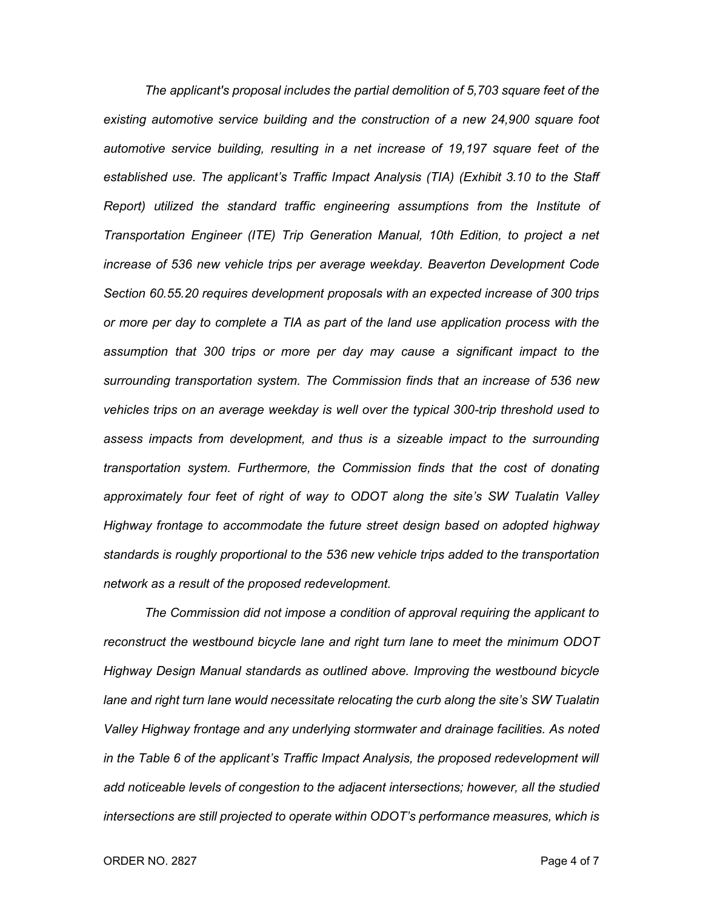*The applicant's proposal includes the partial demolition of 5,703 square feet of the existing automotive service building and the construction of a new 24,900 square foot automotive service building, resulting in a net increase of 19,197 square feet of the established use. The applicant's Traffic Impact Analysis (TIA) (Exhibit 3.10 to the Staff Report) utilized the standard traffic engineering assumptions from the Institute of Transportation Engineer (ITE) Trip Generation Manual, 10th Edition, to project a net increase of 536 new vehicle trips per average weekday. Beaverton Development Code Section 60.55.20 requires development proposals with an expected increase of 300 trips or more per day to complete a TIA as part of the land use application process with the assumption that 300 trips or more per day may cause a significant impact to the surrounding transportation system. The Commission finds that an increase of 536 new vehicles trips on an average weekday is well over the typical 300-trip threshold used to assess impacts from development, and thus is a sizeable impact to the surrounding transportation system. Furthermore, the Commission finds that the cost of donating approximately four feet of right of way to ODOT along the site's SW Tualatin Valley Highway frontage to accommodate the future street design based on adopted highway standards is roughly proportional to the 536 new vehicle trips added to the transportation network as a result of the proposed redevelopment.*

*The Commission did not impose a condition of approval requiring the applicant to reconstruct the westbound bicycle lane and right turn lane to meet the minimum ODOT Highway Design Manual standards as outlined above. Improving the westbound bicycle lane and right turn lane would necessitate relocating the curb along the site's SW Tualatin Valley Highway frontage and any underlying stormwater and drainage facilities. As noted*  in the Table 6 of the applicant's Traffic Impact Analysis, the proposed redevelopment will *add noticeable levels of congestion to the adjacent intersections; however, all the studied intersections are still projected to operate within ODOT's performance measures, which is* 

#### ORDER NO. 2827 Page 4 of 7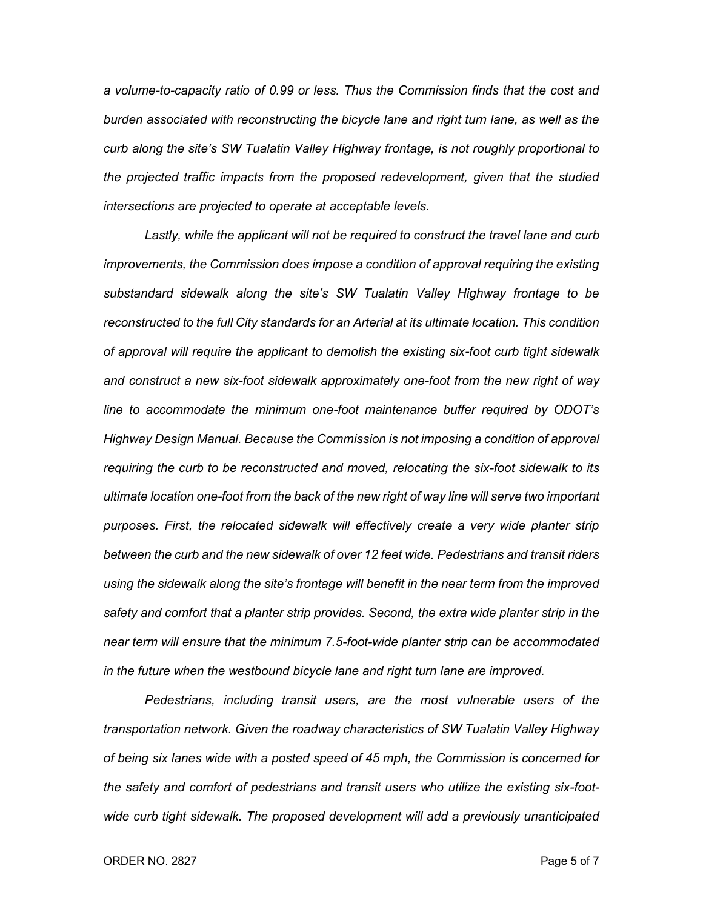*a volume-to-capacity ratio of 0.99 or less. Thus the Commission finds that the cost and burden associated with reconstructing the bicycle lane and right turn lane, as well as the curb along the site's SW Tualatin Valley Highway frontage, is not roughly proportional to the projected traffic impacts from the proposed redevelopment, given that the studied intersections are projected to operate at acceptable levels.*

*Lastly, while the applicant will not be required to construct the travel lane and curb improvements, the Commission does impose a condition of approval requiring the existing substandard sidewalk along the site's SW Tualatin Valley Highway frontage to be reconstructed to the full City standards for an Arterial at its ultimate location. This condition of approval will require the applicant to demolish the existing six-foot curb tight sidewalk and construct a new six-foot sidewalk approximately one-foot from the new right of way line to accommodate the minimum one-foot maintenance buffer required by ODOT's Highway Design Manual. Because the Commission is not imposing a condition of approval requiring the curb to be reconstructed and moved, relocating the six-foot sidewalk to its ultimate location one-foot from the back of the new right of way line will serve two important purposes. First, the relocated sidewalk will effectively create a very wide planter strip between the curb and the new sidewalk of over 12 feet wide. Pedestrians and transit riders using the sidewalk along the site's frontage will benefit in the near term from the improved safety and comfort that a planter strip provides. Second, the extra wide planter strip in the near term will ensure that the minimum 7.5-foot-wide planter strip can be accommodated in the future when the westbound bicycle lane and right turn lane are improved.*

*Pedestrians, including transit users, are the most vulnerable users of the transportation network. Given the roadway characteristics of SW Tualatin Valley Highway of being six lanes wide with a posted speed of 45 mph, the Commission is concerned for the safety and comfort of pedestrians and transit users who utilize the existing six-footwide curb tight sidewalk. The proposed development will add a previously unanticipated*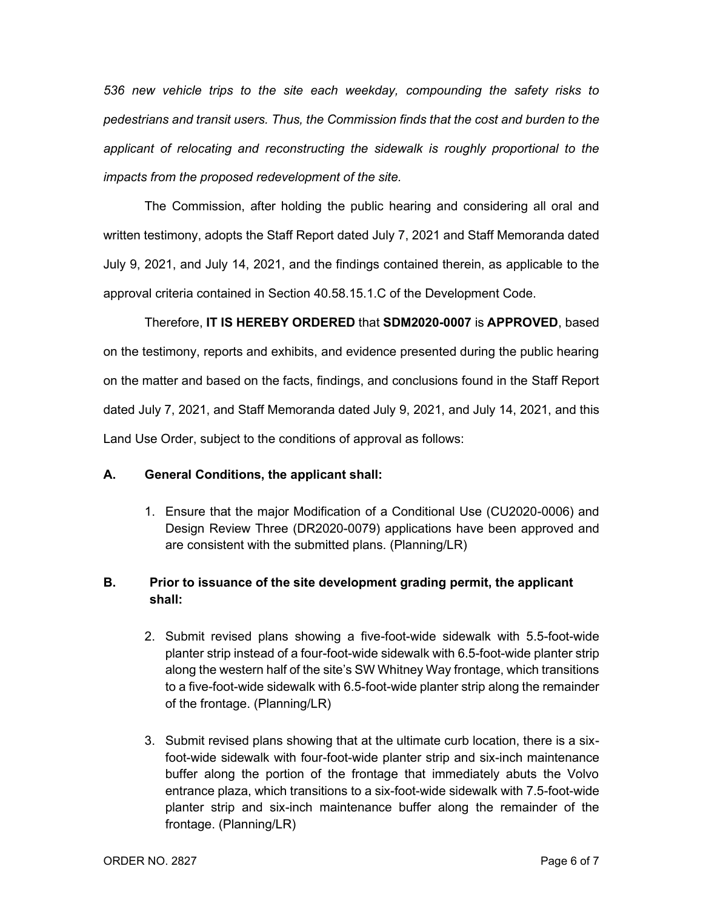*536 new vehicle trips to the site each weekday, compounding the safety risks to pedestrians and transit users. Thus, the Commission finds that the cost and burden to the applicant of relocating and reconstructing the sidewalk is roughly proportional to the impacts from the proposed redevelopment of the site.*

The Commission, after holding the public hearing and considering all oral and written testimony, adopts the Staff Report dated July 7, 2021 and Staff Memoranda dated July 9, 2021, and July 14, 2021, and the findings contained therein, as applicable to the approval criteria contained in Section 40.58.15.1.C of the Development Code.

Therefore, **IT IS HEREBY ORDERED** that **SDM2020-0007** is **APPROVED**, based on the testimony, reports and exhibits, and evidence presented during the public hearing on the matter and based on the facts, findings, and conclusions found in the Staff Report dated July 7, 2021, and Staff Memoranda dated July 9, 2021, and July 14, 2021, and this Land Use Order, subject to the conditions of approval as follows:

# **A. General Conditions, the applicant shall:**

1. Ensure that the major Modification of a Conditional Use (CU2020-0006) and Design Review Three (DR2020-0079) applications have been approved and are consistent with the submitted plans. (Planning/LR)

# **B. Prior to issuance of the site development grading permit, the applicant shall:**

- 2. Submit revised plans showing a five-foot-wide sidewalk with 5.5-foot-wide planter strip instead of a four-foot-wide sidewalk with 6.5-foot-wide planter strip along the western half of the site's SW Whitney Way frontage, which transitions to a five-foot-wide sidewalk with 6.5-foot-wide planter strip along the remainder of the frontage. (Planning/LR)
- 3. Submit revised plans showing that at the ultimate curb location, there is a sixfoot-wide sidewalk with four-foot-wide planter strip and six-inch maintenance buffer along the portion of the frontage that immediately abuts the Volvo entrance plaza, which transitions to a six-foot-wide sidewalk with 7.5-foot-wide planter strip and six-inch maintenance buffer along the remainder of the frontage. (Planning/LR)